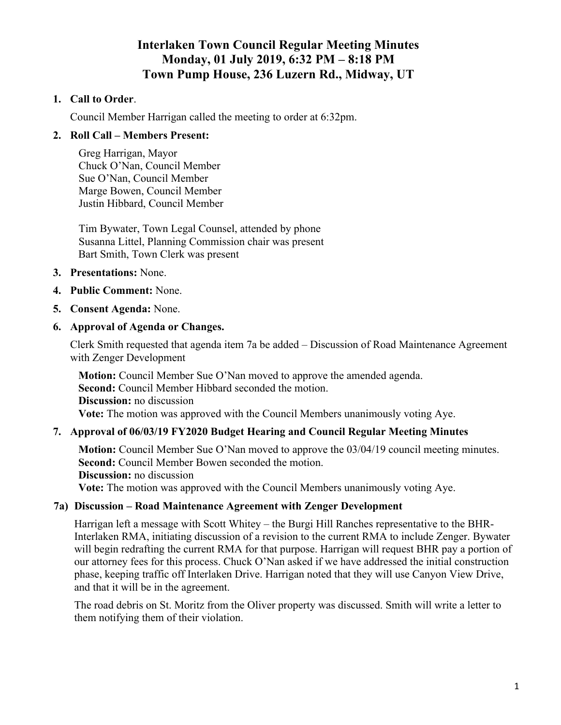# **Interlaken Town Council Regular Meeting Minutes Monday, 01 July 2019, 6:32 PM – 8:18 PM Town Pump House, 236 Luzern Rd., Midway, UT**

### **1. Call to Order**.

Council Member Harrigan called the meeting to order at 6:32pm.

### **2. Roll Call – Members Present:**

Greg Harrigan, Mayor Chuck O'Nan, Council Member Sue O'Nan, Council Member Marge Bowen, Council Member Justin Hibbard, Council Member

Tim Bywater, Town Legal Counsel, attended by phone Susanna Littel, Planning Commission chair was present Bart Smith, Town Clerk was present

### **3. Presentations:** None.

### **4. Public Comment:** None.

**5. Consent Agenda:** None.

### **6. Approval of Agenda or Changes.**

Clerk Smith requested that agenda item 7a be added – Discussion of Road Maintenance Agreement with Zenger Development

**Motion:** Council Member Sue O'Nan moved to approve the amended agenda. **Second:** Council Member Hibbard seconded the motion. **Discussion:** no discussion **Vote:** The motion was approved with the Council Members unanimously voting Aye.

### **7. Approval of 06/03/19 FY2020 Budget Hearing and Council Regular Meeting Minutes**

**Motion:** Council Member Sue O'Nan moved to approve the 03/04/19 council meeting minutes. **Second:** Council Member Bowen seconded the motion. **Discussion:** no discussion

**Vote:** The motion was approved with the Council Members unanimously voting Aye.

### **7a) Discussion – Road Maintenance Agreement with Zenger Development**

Harrigan left a message with Scott Whitey – the Burgi Hill Ranches representative to the BHR-Interlaken RMA, initiating discussion of a revision to the current RMA to include Zenger. Bywater will begin redrafting the current RMA for that purpose. Harrigan will request BHR pay a portion of our attorney fees for this process. Chuck O'Nan asked if we have addressed the initial construction phase, keeping traffic off Interlaken Drive. Harrigan noted that they will use Canyon View Drive, and that it will be in the agreement.

The road debris on St. Moritz from the Oliver property was discussed. Smith will write a letter to them notifying them of their violation.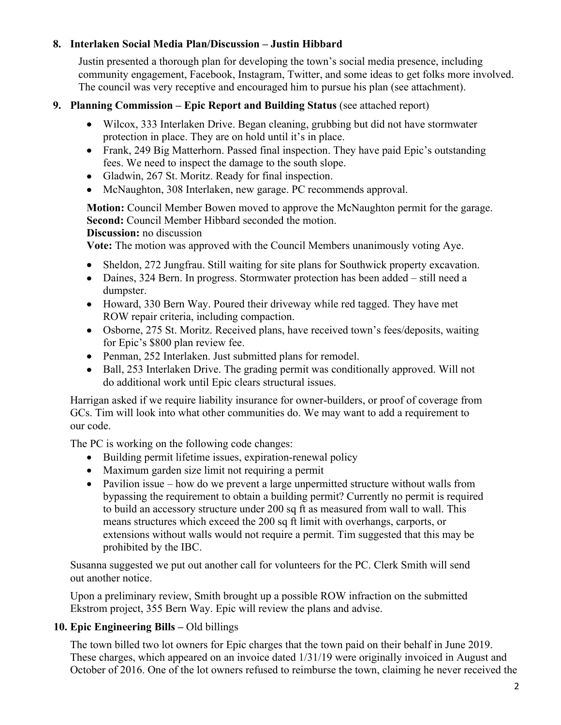### **8. Interlaken Social Media Plan/Discussion – Justin Hibbard**

Justin presented a thorough plan for developing the town's social media presence, including community engagement, Facebook, Instagram, Twitter, and some ideas to get folks more involved. The council was very receptive and encouraged him to pursue his plan (see attachment).

### **9. Planning Commission – Epic Report and Building Status** (see attached report)

- Wilcox, 333 Interlaken Drive. Began cleaning, grubbing but did not have stormwater protection in place. They are on hold until it's in place.
- Frank, 249 Big Matterhorn. Passed final inspection. They have paid Epic's outstanding fees. We need to inspect the damage to the south slope.
- Gladwin, 267 St. Moritz. Ready for final inspection.
- McNaughton, 308 Interlaken, new garage. PC recommends approval.

**Motion:** Council Member Bowen moved to approve the McNaughton permit for the garage. **Second:** Council Member Hibbard seconded the motion.

### **Discussion:** no discussion

**Vote:** The motion was approved with the Council Members unanimously voting Aye.

- Sheldon, 272 Jungfrau. Still waiting for site plans for Southwick property excavation.
- Daines, 324 Bern. In progress. Stormwater protection has been added still need a dumpster.
- Howard, 330 Bern Way. Poured their driveway while red tagged. They have met ROW repair criteria, including compaction.
- Osborne, 275 St. Moritz. Received plans, have received town's fees/deposits, waiting for Epic's \$800 plan review fee.
- Penman, 252 Interlaken. Just submitted plans for remodel.
- Ball, 253 Interlaken Drive. The grading permit was conditionally approved. Will not do additional work until Epic clears structural issues.

Harrigan asked if we require liability insurance for owner-builders, or proof of coverage from GCs. Tim will look into what other communities do. We may want to add a requirement to our code.

The PC is working on the following code changes:

- Building permit lifetime issues, expiration-renewal policy
- Maximum garden size limit not requiring a permit
- Pavilion issue how do we prevent a large unpermitted structure without walls from bypassing the requirement to obtain a building permit? Currently no permit is required to build an accessory structure under 200 sq ft as measured from wall to wall. This means structures which exceed the 200 sq ft limit with overhangs, carports, or extensions without walls would not require a permit. Tim suggested that this may be prohibited by the IBC.

Susanna suggested we put out another call for volunteers for the PC. Clerk Smith will send out another notice.

Upon a preliminary review, Smith brought up a possible ROW infraction on the submitted Ekstrom project, 355 Bern Way. Epic will review the plans and advise.

# **10. Epic Engineering Bills –** Old billings

The town billed two lot owners for Epic charges that the town paid on their behalf in June 2019. These charges, which appeared on an invoice dated 1/31/19 were originally invoiced in August and October of 2016. One of the lot owners refused to reimburse the town, claiming he never received the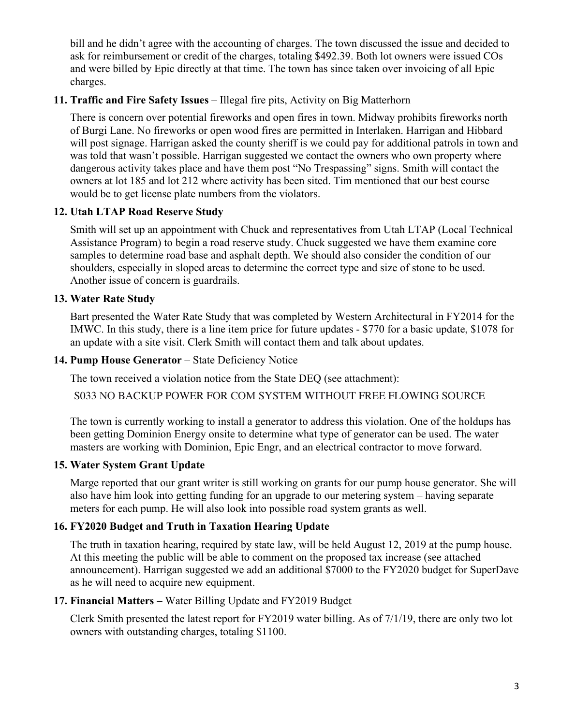bill and he didn't agree with the accounting of charges. The town discussed the issue and decided to ask for reimbursement or credit of the charges, totaling \$492.39. Both lot owners were issued COs and were billed by Epic directly at that time. The town has since taken over invoicing of all Epic charges.

## **11. Traffic and Fire Safety Issues** – Illegal fire pits, Activity on Big Matterhorn

There is concern over potential fireworks and open fires in town. Midway prohibits fireworks north of Burgi Lane. No fireworks or open wood fires are permitted in Interlaken. Harrigan and Hibbard will post signage. Harrigan asked the county sheriff is we could pay for additional patrols in town and was told that wasn't possible. Harrigan suggested we contact the owners who own property where dangerous activity takes place and have them post "No Trespassing" signs. Smith will contact the owners at lot 185 and lot 212 where activity has been sited. Tim mentioned that our best course would be to get license plate numbers from the violators.

# **12. Utah LTAP Road Reserve Study**

Smith will set up an appointment with Chuck and representatives from Utah LTAP (Local Technical Assistance Program) to begin a road reserve study. Chuck suggested we have them examine core samples to determine road base and asphalt depth. We should also consider the condition of our shoulders, especially in sloped areas to determine the correct type and size of stone to be used. Another issue of concern is guardrails.

### **13. Water Rate Study**

Bart presented the Water Rate Study that was completed by Western Architectural in FY2014 for the IMWC. In this study, there is a line item price for future updates - \$770 for a basic update, \$1078 for an update with a site visit. Clerk Smith will contact them and talk about updates.

## 14. Pump House Generator - State Deficiency Notice

The town received a violation notice from the State DEQ (see attachment):

S033 NO BACKUP POWER FOR COM SYSTEM WITHOUT FREE FLOWING SOURCE

The town is currently working to install a generator to address this violation. One of the holdups has been getting Dominion Energy onsite to determine what type of generator can be used. The water masters are working with Dominion, Epic Engr, and an electrical contractor to move forward.

# **15. Water System Grant Update**

Marge reported that our grant writer is still working on grants for our pump house generator. She will also have him look into getting funding for an upgrade to our metering system – having separate meters for each pump. He will also look into possible road system grants as well.

# **16. FY2020 Budget and Truth in Taxation Hearing Update**

The truth in taxation hearing, required by state law, will be held August 12, 2019 at the pump house. At this meeting the public will be able to comment on the proposed tax increase (see attached announcement). Harrigan suggested we add an additional \$7000 to the FY2020 budget for SuperDave as he will need to acquire new equipment.

# **17. Financial Matters –** Water Billing Update and FY2019 Budget

Clerk Smith presented the latest report for FY2019 water billing. As of 7/1/19, there are only two lot owners with outstanding charges, totaling \$1100.